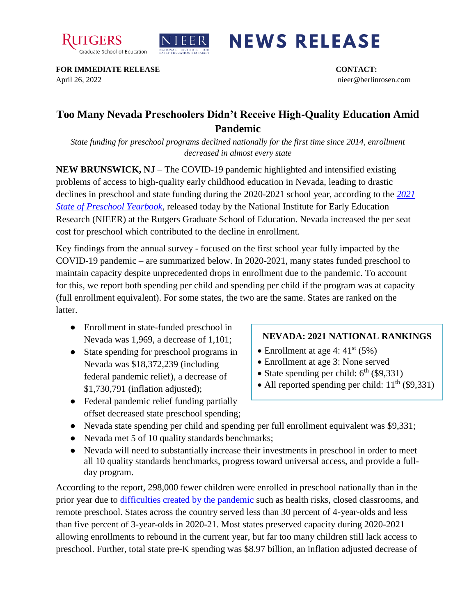



## **NEWS RELEASE**

**FOR IMMEDIATE RELEASE CONTACT:**  April 26, 2022 nieer@berlinrosen.com

## **Too Many Nevada Preschoolers Didn't Receive High-Quality Education Amid Pandemic**

*State funding for preschool programs declined nationally for the first time since 2014, enrollment decreased in almost every state*

**NEW BRUNSWICK, NJ** – The COVID-19 pandemic highlighted and intensified existing problems of access to high-quality early childhood education in Nevada, leading to drastic declines in preschool and state funding during the 2020-2021 school year, according to the *[2021](https://nieer.org/state-preschool-yearbooks-yearbook2021)  [State of Preschool Yearbook,](https://nieer.org/state-preschool-yearbooks-yearbook2021)* released today by the National Institute for Early Education Research (NIEER) at the Rutgers Graduate School of Education. Nevada increased the per seat cost for preschool which contributed to the decline in enrollment.

Key findings from the annual survey - focused on the first school year fully impacted by the COVID-19 pandemic – are summarized below. In 2020-2021, many states funded preschool to maintain capacity despite unprecedented drops in enrollment due to the pandemic. To account for this, we report both spending per child and spending per child if the program was at capacity (full enrollment equivalent). For some states, the two are the same. States are ranked on the latter.

- Enrollment in state-funded preschool in Nevada was 1,969, a decrease of 1,101;
- State spending for preschool programs in Nevada was \$18,372,239 (including federal pandemic relief), a decrease of \$1,730,791 (inflation adjusted);
- Enrollment at age 4:  $41<sup>st</sup>$  (5%)

**NEVADA: 2021 NATIONAL RANKINGS**

- Enrollment at age 3: None served
- State spending per child:  $6<sup>th</sup>$  (\$9,331)
- All reported spending per child:  $11<sup>th</sup>$  (\$9,331)
- Federal pandemic relief funding partially offset decreased state preschool spending;
- Nevada state spending per child and spending per full enrollment equivalent was \$9,331;
- Nevada met 5 of 10 quality standards benchmarks;
- Nevada will need to substantially increase their investments in preschool in order to meet all 10 quality standards benchmarks, progress toward universal access, and provide a fullday program.

According to the report, 298,000 fewer children were enrolled in preschool nationally than in the prior year due to [difficulties created by the pandemic](https://nieer.org/wp-content/uploads/2021/02/NIEER_Seven_Impacts_of_the_Pandemic_on_Young_Children_and_their_Parents.pdf) such as health risks, closed classrooms, and remote preschool. States across the country served less than 30 percent of 4-year-olds and less than five percent of 3-year-olds in 2020-21. Most states preserved capacity during 2020-2021 allowing enrollments to rebound in the current year, but far too many children still lack access to preschool. Further, total state pre-K spending was \$8.97 billion, an inflation adjusted decrease of